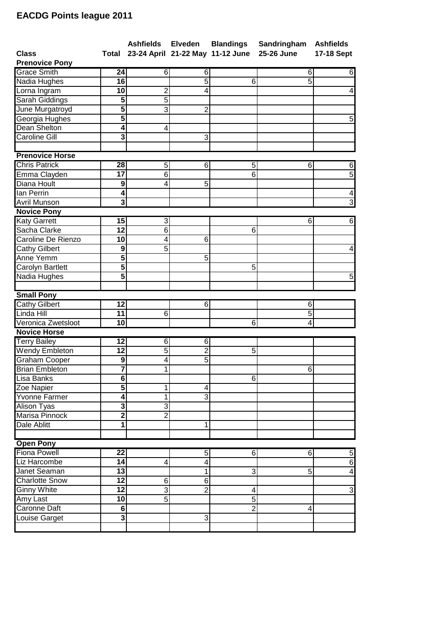## **EACDG Points league 2011**

|                                         |                              |                     |                     | Ashfields Elveden Blandings      | Sandringham    | <b>Ashfields</b>              |
|-----------------------------------------|------------------------------|---------------------|---------------------|----------------------------------|----------------|-------------------------------|
| <b>Class</b><br><b>Prenovice Pony</b>   | Total                        |                     |                     | 23-24 April 21-22 May 11-12 June | 25-26 June     | 17-18 Sept                    |
| <b>Grace Smith</b>                      | 24                           | 6                   | 6                   |                                  | 6              | 6                             |
| Nadia Hughes                            | 16                           |                     | $\overline{5}$      | 6                                | 5              |                               |
| Lorna Ingram                            | 10                           | $\overline{2}$      | 4                   |                                  |                | $\overline{4}$                |
| Sarah Giddings                          | 5                            | $\overline{5}$      |                     |                                  |                |                               |
| June Murgatroyd                         | $\overline{5}$               | 3                   | $\overline{2}$      |                                  |                |                               |
| Georgia Hughes                          | $\overline{5}$               |                     |                     |                                  |                | 5                             |
| Dean Shelton                            | 4                            | 4                   |                     |                                  |                |                               |
| <b>Caroline Gill</b>                    | $\overline{\mathbf{3}}$      |                     | 3                   |                                  |                |                               |
| <b>Prenovice Horse</b>                  |                              |                     |                     |                                  |                |                               |
| <b>Chris Patrick</b>                    | 28                           |                     | 6                   |                                  | 6              |                               |
|                                         | $\overline{17}$              | 5<br>$\overline{6}$ |                     | 5<br>$\overline{6}$              |                | 6<br>5                        |
| Emma Clayden<br>Diana Hoult             | 9                            | 4                   | 5                   |                                  |                |                               |
| lan Perrin                              | 4                            |                     |                     |                                  |                |                               |
|                                         | $\overline{\mathbf{3}}$      |                     |                     |                                  |                | $\overline{\mathcal{A}}$<br>3 |
| Avril Munson<br><b>Novice Pony</b>      |                              |                     |                     |                                  |                |                               |
|                                         | 15                           |                     |                     |                                  |                |                               |
| <b>Katy Garrett</b><br>Sacha Clarke     | $\overline{12}$              | ω<br>6              |                     |                                  | 6              | 6                             |
| Caroline De Rienzo                      | 10                           |                     | 6                   | 6                                |                |                               |
|                                         | $\overline{9}$               | 4<br>$\overline{5}$ |                     |                                  |                |                               |
| Cathy Gilbert                           | $\overline{\mathbf{5}}$      |                     |                     |                                  |                | $\overline{\mathbf{4}}$       |
| Anne Yemm                               |                              |                     | 5                   |                                  |                |                               |
| Carolyn Bartlett                        | 5<br>$\overline{\mathbf{5}}$ |                     |                     | 5                                |                |                               |
| Nadia Hughes                            |                              |                     |                     |                                  |                | $\overline{5}$                |
| <b>Small Pony</b>                       |                              |                     |                     |                                  |                |                               |
| <b>Cathy Gilbert</b>                    | $\overline{12}$              |                     | 6                   |                                  | 6              |                               |
| Linda Hill                              | 11                           | $\overline{6}$      |                     |                                  | $\overline{5}$ |                               |
| Veronica Zwetsloot                      | $\overline{\mathbf{10}}$     |                     |                     | 6                                | 4              |                               |
| <b>Novice Horse</b>                     |                              |                     |                     |                                  |                |                               |
| <b>Terry Bailey</b>                     | $\overline{12}$              | 6                   | 6                   |                                  |                |                               |
| Wendy Embleton                          | 12                           | $\overline{5}$      | $\overline{2}$      | 5                                |                |                               |
| Graham Cooper                           | $\boldsymbol{9}$             | 4                   | $\overline{5}$      |                                  |                |                               |
| <b>Brian Embleton</b>                   | $\overline{\mathbf{7}}$      | $\mathbf{1}$        |                     |                                  | 6              |                               |
| Lisa Banks                              | 6                            |                     |                     | $6 \mid$                         |                |                               |
| Zoe Napier                              | $\overline{5}$               | 1                   | 4                   |                                  |                |                               |
| Yvonne Farmer                           | 4                            | 1                   | 3                   |                                  |                |                               |
| Alison Tyas                             | 3                            | $\overline{3}$      |                     |                                  |                |                               |
| Marisa Pinnock                          | $\overline{2}$               | $\overline{2}$      |                     |                                  |                |                               |
| Dale Ablitt                             | 1                            |                     | 1                   |                                  |                |                               |
|                                         |                              |                     |                     |                                  |                |                               |
| <b>Open Pony</b><br><b>Fiona Powell</b> | $\overline{22}$              |                     |                     |                                  |                |                               |
| Liz Harcombe                            |                              |                     | 5                   | 6                                | 6              | 5                             |
| Janet Seaman                            | 14                           | 4                   | 4                   |                                  |                | $\overline{6}$                |
|                                         | 13                           |                     | 1                   | 3                                | 5              | $\blacktriangle$              |
| <b>Charlotte Snow</b>                   | 12                           | 6                   | 6<br>$\overline{2}$ |                                  |                |                               |
| <b>Ginny White</b>                      |                              |                     |                     | 4                                |                | $\mathbf{3}$                  |
|                                         | $\overline{12}$              | 3                   |                     |                                  |                |                               |
| Amy Last                                | 10                           | $\overline{5}$      |                     | $\overline{5}$                   |                |                               |
| Caronne Daft<br>Louise Garget           | 6<br>دى                      |                     | 3                   | $\overline{2}$                   | 4              |                               |